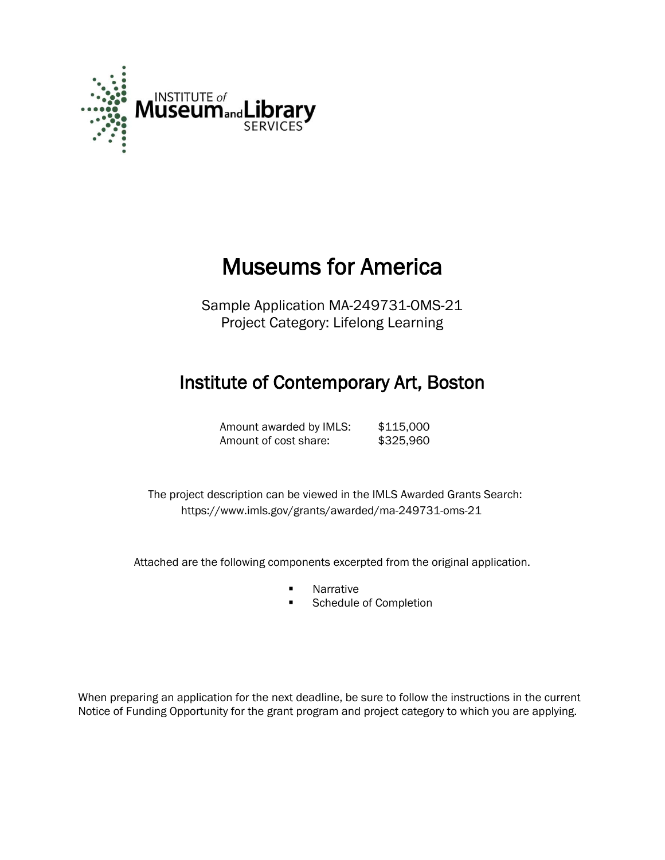

# Museums for America

Sample Application MA-249731-OMS-21 Project Category: Lifelong Learning

# Institute of Contemporary Art, Boston

Amount awarded by IMLS: \$115,000 Amount of cost share: \$325,960

 The project description can be viewed in the IMLS Awarded Grants Search: <https://www.imls.gov/grants/awarded/ma-249731-oms-21>

Attached are the following components excerpted from the original application.

- **Narrative**
- **Schedule of Completion**

When preparing an application for the next deadline, be sure to follow the instructions in the current Notice of Funding Opportunity for the grant program and project category to which you are applying.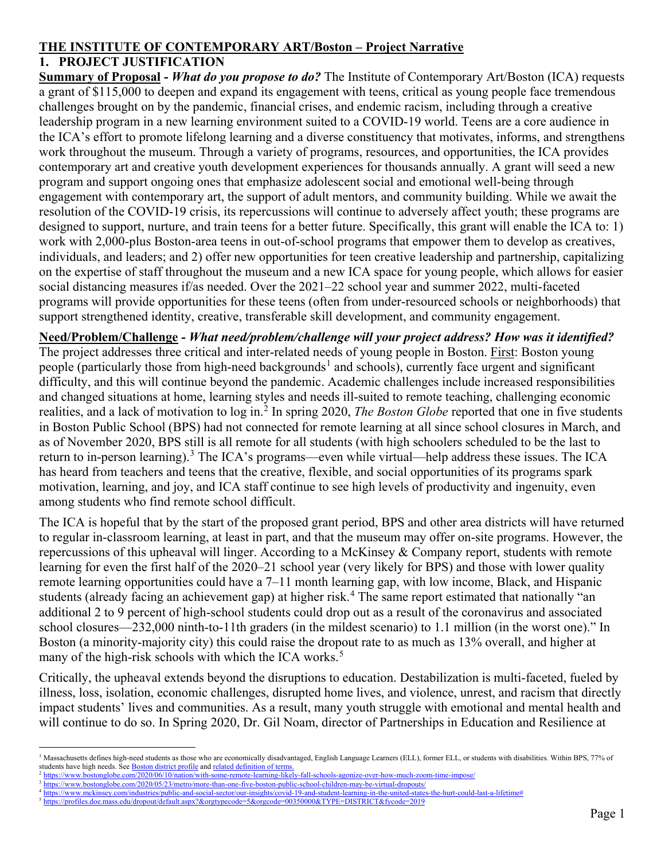### **THE INSTITUTE OF CONTEMPORARY ART/Boston – Project Narrative**

#### **1. PROJECT JUSTIFICATION**

**Summary of Proposal -** *What do you propose to do?* The Institute of Contemporary Art/Boston (ICA) requests a grant of \$115,000 to deepen and expand its engagement with teens, critical as young people face tremendous challenges brought on by the pandemic, financial crises, and endemic racism, including through a creative leadership program in a new learning environment suited to a COVID-19 world. Teens are a core audience in the ICA's effort to promote lifelong learning and a diverse constituency that motivates, informs, and strengthens work throughout the museum. Through a variety of programs, resources, and opportunities, the ICA provides contemporary art and creative youth development experiences for thousands annually. A grant will seed a new program and support ongoing ones that emphasize adolescent social and emotional well-being through engagement with contemporary art, the support of adult mentors, and community building. While we await the resolution of the COVID-19 crisis, its repercussions will continue to adversely affect youth; these programs are designed to support, nurture, and train teens for a better future. Specifically, this grant will enable the ICA to: 1) work with 2,000-plus Boston-area teens in out-of-school programs that empower them to develop as creatives, individuals, and leaders; and 2) offer new opportunities for teen creative leadership and partnership, capitalizing on the expertise of staff throughout the museum and a new ICA space for young people, which allows for easier social distancing measures if/as needed. Over the 2021–22 school year and summer 2022, multi-faceted programs will provide opportunities for these teens (often from under-resourced schools or neighborhoods) that support strengthened identity, creative, transferable skill development, and community engagement.

**Need/Problem/Challenge -** *What need/problem/challenge will your project address? How was it identified?* The project addresses three critical and inter-related needs of young people in Boston. First: Boston young people (particularly those from high-need backgrounds<sup>[1](#page-1-0)</sup> and schools), currently face urgent and significant difficulty, and this will continue beyond the pandemic. Academic challenges include increased responsibilities and changed situations at home, learning styles and needs ill-suited to remote teaching, challenging economic realities, and a lack of motivation to log in. [2](#page-1-1) In spring 2020, *The Boston Globe* reported that one in five students in Boston Public School (BPS) had not connected for remote learning at all since school closures in March, and as of November 2020, BPS still is all remote for all students (with high schoolers scheduled to be the last to return to in-person learning).<sup>[3](#page-1-2)</sup> The ICA's programs—even while virtual—help address these issues. The ICA has heard from teachers and teens that the creative, flexible, and social opportunities of its programs spark motivation, learning, and joy, and ICA staff continue to see high levels of productivity and ingenuity, even among students who find remote school difficult.

The ICA is hopeful that by the start of the proposed grant period, BPS and other area districts will have returned to regular in-classroom learning, at least in part, and that the museum may offer on-site programs. However, the repercussions of this upheaval will linger. According to a McKinsey & Company report, students with remote learning for even the first half of the 2020–21 school year (very likely for BPS) and those with lower quality remote learning opportunities could have a 7–11 month learning gap, with low income, Black, and Hispanic students (already facing an achievement gap) at higher risk.<sup>[4](#page-1-3)</sup> The same report estimated that nationally "an additional 2 to 9 percent of high-school students could drop out as a result of the coronavirus and associated school closures—232,000 ninth-to-11th graders (in the mildest scenario) to 1.1 million (in the worst one)." In Boston (a minority-majority city) this could raise the dropout rate to as much as 13% overall, and higher at many of the high-risk schools with which the ICA works.<sup>[5](#page-1-4)</sup>

Critically, the upheaval extends beyond the disruptions to education. Destabilization is multi-faceted, fueled by illness, loss, isolation, economic challenges, disrupted home lives, and violence, unrest, and racism that directly impact students' lives and communities. As a result, many youth struggle with emotional and mental health and will continue to do so. In Spring 2020, Dr. Gil Noam, director of Partnerships in Education and Resilience at

<span id="page-1-0"></span><sup>&</sup>lt;sup>1</sup> Massachusetts defines high-need students as those who are economically disadvantaged, English Language Learners (ELL), former ELL, or students with disabilities. Within BPS, 77% of students have high needs. See **Boston district profile** an[d related definition of terms.](https://profiles.doe.mass.edu/help/data.aspx?section=students#selectedpop)

<span id="page-1-2"></span><span id="page-1-1"></span><sup>2</sup> <https://www.bostonglobe.com/2020/06/10/nation/with-some-remote-learning-likely-fall-schools-agonize-over-how-much-zoom-time-impose/> <sup>3</sup> <https://www.bostonglobe.com/2020/05/23/metro/more-than-one-five-boston-public-school-children-may-be-virtual-dropouts/>

<span id="page-1-3"></span><sup>4</sup> [https://www.mckinsey.com/industries/public-and-social-sector/our-insights/covid-19-and-student-learning-in-the-united-states-the-hurt-could-last-a-lifetime#](https://www.mckinsey.com/industries/public-and-social-sector/our-insights/covid-19-and-student-learning-in-the-united-states-the-hurt-could-last-a-lifetime)

<span id="page-1-4"></span><sup>5</sup> <https://profiles.doe.mass.edu/dropout/default.aspx?&orgtypecode=5&orgcode=00350000&TYPE=DISTRICT&fycode=2019>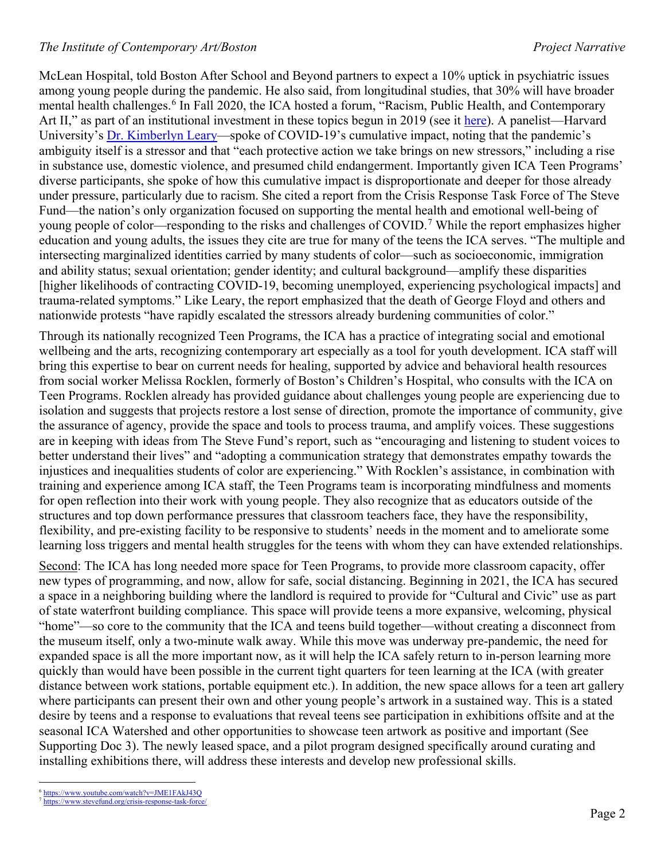McLean Hospital, told Boston After School and Beyond partners to expect a 10% uptick in psychiatric issues among young people during the pandemic. He also said, from longitudinal studies, that 30% will have broader mental health challenges.<sup>[6](#page-2-0)</sup> In Fall 2020, the ICA hosted a forum, "Racism, Public Health, and Contemporary Art II," as part of an institutional investment in these topics begun in 2019 (see it [here\)](https://www.icaboston.org/events/ica-forum-racism-public-health-and-contemporary-art-ii). A panelist—Harvard University's [Dr. Kimberlyn Leary—](https://www.hsph.harvard.edu/kimberlyn-leary/)spoke of COVID-19's cumulative impact, noting that the pandemic's ambiguity itself is a stressor and that "each protective action we take brings on new stressors," including a rise in substance use, domestic violence, and presumed child endangerment. Importantly given ICA Teen Programs' diverse participants, she spoke of how this cumulative impact is disproportionate and deeper for those already under pressure, particularly due to racism. She cited a report from the Crisis Response Task Force of The Steve Fund—the nation's only organization focused on supporting the mental health and emotional well-being of young people of color—responding to the risks and challenges of COVID.<sup>[7](#page-2-1)</sup> While the report emphasizes higher education and young adults, the issues they cite are true for many of the teens the ICA serves. "The multiple and intersecting marginalized identities carried by many students of color—such as socioeconomic, immigration and ability status; sexual orientation; gender identity; and cultural background—amplify these disparities [higher likelihoods of contracting COVID-19, becoming unemployed, experiencing psychological impacts] and trauma-related symptoms." Like Leary, the report emphasized that the death of George Floyd and others and nationwide protests "have rapidly escalated the stressors already burdening communities of color."

Through its nationally recognized Teen Programs, the ICA has a practice of integrating social and emotional wellbeing and the arts, recognizing contemporary art especially as a tool for youth development. ICA staff will bring this expertise to bear on current needs for healing, supported by advice and behavioral health resources from social worker Melissa Rocklen, formerly of Boston's Children's Hospital, who consults with the ICA on Teen Programs. Rocklen already has provided guidance about challenges young people are experiencing due to isolation and suggests that projects restore a lost sense of direction, promote the importance of community, give the assurance of agency, provide the space and tools to process trauma, and amplify voices. These suggestions are in keeping with ideas from The Steve Fund's report, such as "encouraging and listening to student voices to better understand their lives" and "adopting a communication strategy that demonstrates empathy towards the injustices and inequalities students of color are experiencing." With Rocklen's assistance, in combination with training and experience among ICA staff, the Teen Programs team is incorporating mindfulness and moments for open reflection into their work with young people. They also recognize that as educators outside of the structures and top down performance pressures that classroom teachers face, they have the responsibility, flexibility, and pre-existing facility to be responsive to students' needs in the moment and to ameliorate some learning loss triggers and mental health struggles for the teens with whom they can have extended relationships.

Second: The ICA has long needed more space for Teen Programs, to provide more classroom capacity, offer new types of programming, and now, allow for safe, social distancing. Beginning in 2021, the ICA has secured a space in a neighboring building where the landlord is required to provide for "Cultural and Civic" use as part of state waterfront building compliance. This space will provide teens a more expansive, welcoming, physical "home"—so core to the community that the ICA and teens build together—without creating a disconnect from the museum itself, only a two-minute walk away. While this move was underway pre-pandemic, the need for expanded space is all the more important now, as it will help the ICA safely return to in-person learning more quickly than would have been possible in the current tight quarters for teen learning at the ICA (with greater distance between work stations, portable equipment etc.). In addition, the new space allows for a teen art gallery where participants can present their own and other young people's artwork in a sustained way. This is a stated desire by teens and a response to evaluations that reveal teens see participation in exhibitions offsite and at the seasonal ICA Watershed and other opportunities to showcase teen artwork as positive and important (See Supporting Doc 3). The newly leased space, and a pilot program designed specifically around curating and installing exhibitions there, will address these interests and develop new professional skills.

 <sup>6</sup> <https://www.youtube.com/watch?v=JME1FAkJ43Q>

<span id="page-2-1"></span><span id="page-2-0"></span><sup>7</sup> <https://www.stevefund.org/crisis-response-task-force/>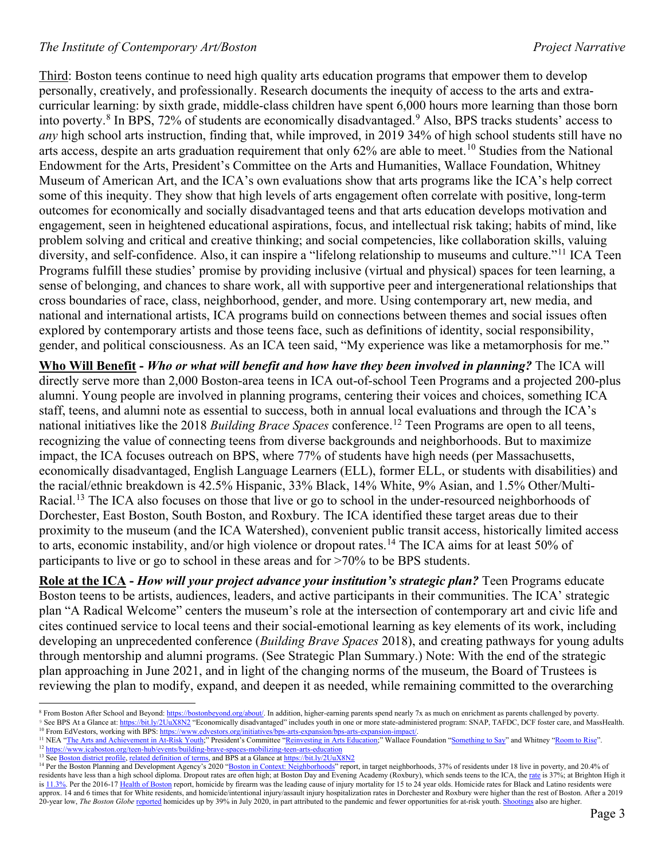#### *The Institute of Contemporary Art/Boston Project Narrative*

Third: Boston teens continue to need high quality arts education programs that empower them to develop personally, creatively, and professionally. Research documents the inequity of access to the arts and extracurricular learning: by sixth grade, middle-class children have spent 6,000 hours more learning than those born into poverty.[8](#page-3-0) In BPS, 72% of students are economically disadvantaged.[9](#page-3-1) Also, BPS tracks students' access to *any* high school arts instruction, finding that, while improved, in 2019 34% of high school students still have no arts access, despite an arts graduation requirement that only 62% are able to meet.<sup>[10](#page-3-2)</sup> Studies from the National Endowment for the Arts, President's Committee on the Arts and Humanities, Wallace Foundation, Whitney Museum of American Art, and the ICA's own evaluations show that arts programs like the ICA's help correct some of this inequity. They show that high levels of arts engagement often correlate with positive, long-term outcomes for economically and socially disadvantaged teens and that arts education develops motivation and engagement, seen in heightened educational aspirations, focus, and intellectual risk taking; habits of mind, like problem solving and critical and creative thinking; and social competencies, like collaboration skills, valuing diversity, and self-confidence. Also, it can inspire a "lifelong relationship to museums and culture."<sup>[11](#page-3-3)</sup> ICA Teen Programs fulfill these studies' promise by providing inclusive (virtual and physical) spaces for teen learning, a sense of belonging, and chances to share work, all with supportive peer and intergenerational relationships that cross boundaries of race, class, neighborhood, gender, and more. Using contemporary art, new media, and national and international artists, ICA programs build on connections between themes and social issues often explored by contemporary artists and those teens face, such as definitions of identity, social responsibility, gender, and political consciousness. As an ICA teen said, "My experience was like a metamorphosis for me."

**Who Will Benefit -** *Who or what will benefit and how have they been involved in planning?* The ICA will directly serve more than 2,000 Boston-area teens in ICA out-of-school Teen Programs and a projected 200-plus alumni. Young people are involved in planning programs, centering their voices and choices, something ICA staff, teens, and alumni note as essential to success, both in annual local evaluations and through the ICA's national initiatives like the 2018 *Building Brace Spaces* conference.<sup>[12](#page-3-4)</sup> Teen Programs are open to all teens, recognizing the value of connecting teens from diverse backgrounds and neighborhoods. But to maximize impact, the ICA focuses outreach on BPS, where 77% of students have high needs (per Massachusetts, economically disadvantaged, English Language Learners (ELL), former ELL, or students with disabilities) and the racial/ethnic breakdown is 42.5% Hispanic, 33% Black, 14% White, 9% Asian, and 1.5% Other/Multi-Racial.<sup>[13](#page-3-5)</sup> The ICA also focuses on those that live or go to school in the under-resourced neighborhoods of Dorchester, East Boston, South Boston, and Roxbury. The ICA identified these target areas due to their proximity to the museum (and the ICA Watershed), convenient public transit access, historically limited access to arts, economic instability, and/or high violence or dropout rates.<sup>[14](#page-3-6)</sup> The ICA aims for at least 50% of participants to live or go to school in these areas and for >70% to be BPS students.

**Role at the ICA -** *How will your project advance your institution's strategic plan?* Teen Programs educate Boston teens to be artists, audiences, leaders, and active participants in their communities. The ICA' strategic plan "A Radical Welcome" centers the museum's role at the intersection of contemporary art and civic life and cites continued service to local teens and their social-emotional learning as key elements of its work, including developing an unprecedented conference (*Building Brave Spaces* 2018), and creating pathways for young adults through mentorship and alumni programs. (See Strategic Plan Summary.) Note: With the end of the strategic plan approaching in June 2021, and in light of the changing norms of the museum, the Board of Trustees is reviewing the plan to modify, expand, and deepen it as needed, while remaining committed to the overarching

- <span id="page-3-4"></span><sup>12</sup> <https://www.icaboston.org/teen-hub/events/building-brave-spaces-mobilizing-teen-arts-education>
- <span id="page-3-5"></span><sup>13</sup> Se[e Boston district profile,](http://profiles.doe.mass.edu/profiles/student.aspx?orgcode=00350000&orgtypecode=5&leftNavId=305&) [related definition of terms,](https://profiles.doe.mass.edu/help/data.aspx?section=students#selectedpop) and BPS at a Glance a[t https://bit.ly/2UuX8N2](https://bit.ly/2UuX8N2)

<span id="page-3-1"></span><span id="page-3-0"></span><sup>&</sup>lt;sup>8</sup> From Boston After School and Beyond: [https://bostonbeyond.org/about/.](https://bostonbeyond.org/about/) In addition, higher-earning parents spend nearly 7x as much on enrichment as parents challenged by poverty. 9 See BPS At a Glance at[: https://bit.ly/2UuX8N2](https://bit.ly/2UuX8N2) "Economically disadvantaged" includes youth in one or more state-administered program: SNAP, TAFDC, DCF foster care, and MassHealth.

<span id="page-3-3"></span><span id="page-3-2"></span><sup>&</sup>lt;sup>10</sup> From EdVestors, working with BPS: [https://www.edvestors.org/initiatives/bps-arts-expansion/bps-arts-expansion-impact/.](https://www.edvestors.org/initiatives/bps-arts-expansion/bps-arts-expansion-impact/) <sup>11</sup> NEA ["The Arts and Achievement in](https://www.google.com/url?sa=t&rct=j&q=&esrc=s&source=web&cd=&cad=rja&uact=8&ved=2ahUKEwi46K_shvbsAhVOJt8KHUIXCWwQFjAAegQIBBAC&url=https%3A%2F%2Fwww.arts.gov%2Fsites%2Fdefault%2Ffiles%2FArts-At-Risk-Youth.pdf&usg=AOvVaw3TWb3rlFw_D1WuGDz6mGDO) At-Risk Youth;" President's Committee ["Reinvesting in Arts Education;"](https://www.americansforthearts.org/by-program/reports-and-data/legislation-policy/naappd/reinvesting-in-arts-education-winning-americas-future-through-creative-schools) Wallace Foundation ["Something to Say"](https://www.wallacefoundation.org/knowledge-center/pages/something-to-say-success-principles-for-afterschool-arts-programs.aspx) and Whitney ["Room to Rise"](https://whitney.org/Education/Teens/RoomToRise).

<span id="page-3-6"></span><sup>&</sup>lt;sup>14</sup> Per the Boston Planning and Development Agency's 2020 ["Boston in Context: Neighborhoods"](http://www.bostonplans.org/research/research-publications) report, in target neighborhoods, 37% of residents under 18 live in poverty, and 20.4% of residents have less than a high school diploma. Dropout rates are often high; at Boston Day and Evening Academy (Roxbury), which sends teens to the ICA, th[e rate](http://profiles.doe.mass.edu/dropout/default.aspx?orgcode=04240505&orgtypecode=6&leftNavId=15627&) is 37%; at Brighton High it i[s 11.3%.](https://profiles.doe.mass.edu/dropout/default.aspx?orgcode=00350505&orgtypecode=6&leftNavId=15627&) Per the 2016-1[7 Health of Boston](http://www.bphc.org/healthdata/health-of-boston-report/Pages/Health-of-Boston-Report.aspx) report, homicide by firearm was the leading cause of injury mortality for 15 to 24 year olds. Homicide rates for Black and Latino residents were approx. 14 and 6 times that for White residents, and homicide/intentional injury/assault injury hospitalization rates in Dorchester and Roxbury were higher than the rest of Boston. After a 2019 20-year low, *The Boston Globe* [reported](https://www.bostonglobe.com/2020/07/27/metro/homicides-boston-have-climbed-39-percent-so-far-this-year/) homicides up by 39% in July 2020, in part attributed to the pandemic and fewer opportunities for at-risk youth[. Shootings](https://www.nbcboston.com/news/local/shootings-in-boston-are-up-20-this-year-with-shooting-deaths-up-25-data-shows/2160366/) also are higher.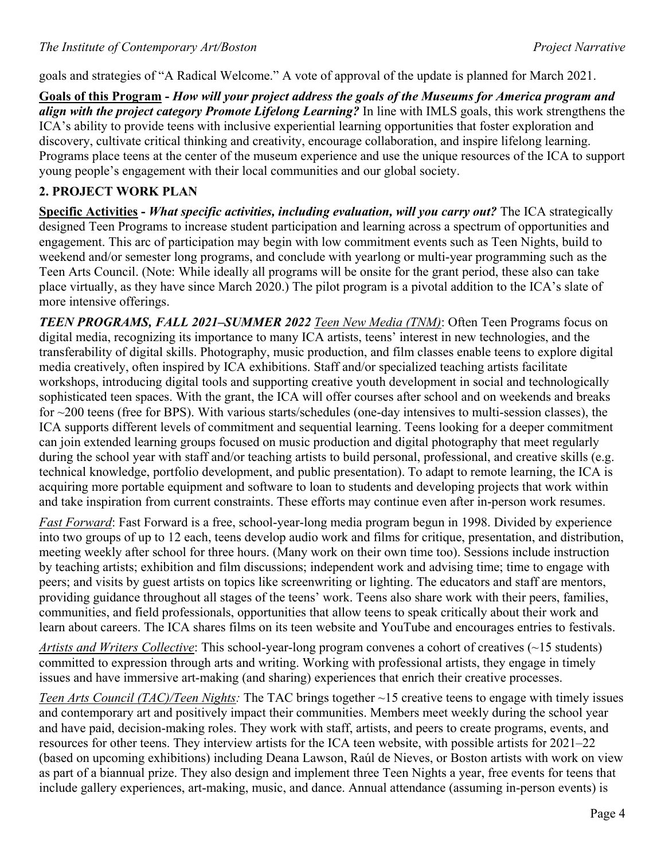goals and strategies of "A Radical Welcome." A vote of approval of the update is planned for March 2021.

**Goals of this Program -** *How will your project address the goals of the Museums for America program and align with the project category Promote Lifelong Learning?* In line with IMLS goals, this work strengthens the ICA's ability to provide teens with inclusive experiential learning opportunities that foster exploration and discovery, cultivate critical thinking and creativity, encourage collaboration, and inspire lifelong learning. Programs place teens at the center of the museum experience and use the unique resources of the ICA to support young people's engagement with their local communities and our global society.

## **2. PROJECT WORK PLAN**

**Specific Activities -** *What specific activities, including evaluation, will you carry out?* The ICA strategically designed Teen Programs to increase student participation and learning across a spectrum of opportunities and engagement. This arc of participation may begin with low commitment events such as Teen Nights, build to weekend and/or semester long programs, and conclude with yearlong or multi-year programming such as the Teen Arts Council. (Note: While ideally all programs will be onsite for the grant period, these also can take place virtually, as they have since March 2020.) The pilot program is a pivotal addition to the ICA's slate of more intensive offerings.

*TEEN PROGRAMS, FALL 2021–SUMMER 2022 Teen New Media (TNM)*: Often Teen Programs focus on digital media, recognizing its importance to many ICA artists, teens' interest in new technologies, and the transferability of digital skills. Photography, music production, and film classes enable teens to explore digital media creatively, often inspired by ICA exhibitions. Staff and/or specialized teaching artists facilitate workshops, introducing digital tools and supporting creative youth development in social and technologically sophisticated teen spaces. With the grant, the ICA will offer courses after school and on weekends and breaks for ~200 teens (free for BPS). With various starts/schedules (one-day intensives to multi-session classes), the ICA supports different levels of commitment and sequential learning. Teens looking for a deeper commitment can join extended learning groups focused on music production and digital photography that meet regularly during the school year with staff and/or teaching artists to build personal, professional, and creative skills (e.g. technical knowledge, portfolio development, and public presentation). To adapt to remote learning, the ICA is acquiring more portable equipment and software to loan to students and developing projects that work within and take inspiration from current constraints. These efforts may continue even after in-person work resumes.

*Fast Forward*: Fast Forward is a free, school-year-long media program begun in 1998. Divided by experience into two groups of up to 12 each, teens develop audio work and films for critique, presentation, and distribution, meeting weekly after school for three hours. (Many work on their own time too). Sessions include instruction by teaching artists; exhibition and film discussions; independent work and advising time; time to engage with peers; and visits by guest artists on topics like screenwriting or lighting. The educators and staff are mentors, providing guidance throughout all stages of the teens' work. Teens also share work with their peers, families, communities, and field professionals, opportunities that allow teens to speak critically about their work and learn about careers. The ICA shares films on its teen website and YouTube and encourages entries to festivals.

*Artists and Writers Collective*: This school-year-long program convenes a cohort of creatives (~15 students) committed to expression through arts and writing. Working with professional artists, they engage in timely issues and have immersive art-making (and sharing) experiences that enrich their creative processes.

*Teen Arts Council (TAC)/Teen Nights:* The TAC brings together ~15 creative teens to engage with timely issues and contemporary art and positively impact their communities. Members meet weekly during the school year and have paid, decision-making roles. They work with staff, artists, and peers to create programs, events, and resources for other teens. They interview artists for the ICA teen website, with possible artists for 2021–22 (based on upcoming exhibitions) including Deana Lawson, Raúl de Nieves, or Boston artists with work on view as part of a biannual prize. They also design and implement three Teen Nights a year, free events for teens that include gallery experiences, art-making, music, and dance. Annual attendance (assuming in-person events) is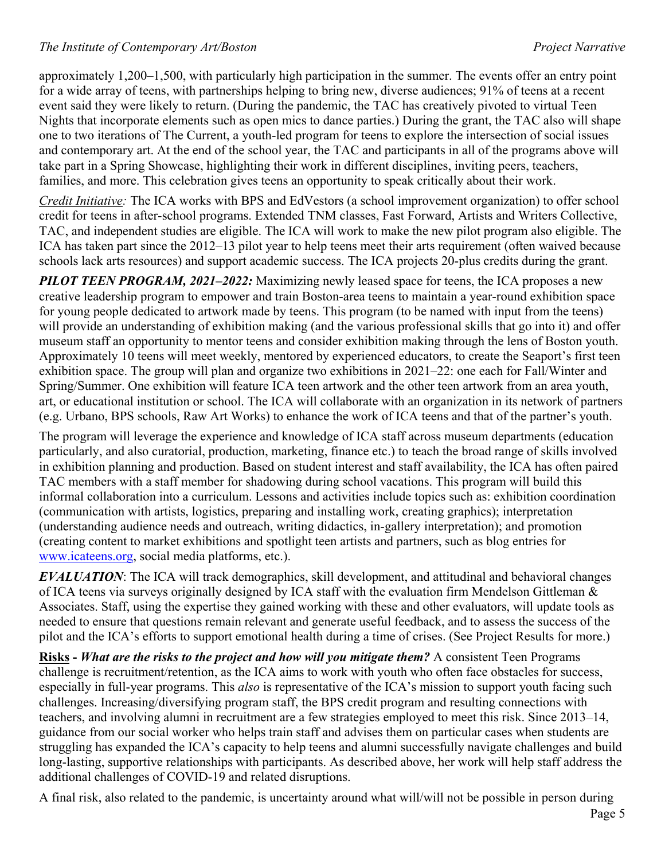#### *The Institute of Contemporary Art/Boston Project Narrative*

approximately 1,200–1,500, with particularly high participation in the summer. The events offer an entry point for a wide array of teens, with partnerships helping to bring new, diverse audiences; 91% of teens at a recent event said they were likely to return. (During the pandemic, the TAC has creatively pivoted to virtual Teen Nights that incorporate elements such as open mics to dance parties.) During the grant, the TAC also will shape one to two iterations of The Current, a youth-led program for teens to explore the intersection of social issues and contemporary art. At the end of the school year, the TAC and participants in all of the programs above will take part in a Spring Showcase, highlighting their work in different disciplines, inviting peers, teachers, families, and more. This celebration gives teens an opportunity to speak critically about their work.

*Credit Initiative:* The ICA works with BPS and EdVestors (a school improvement organization) to offer school credit for teens in after-school programs. Extended TNM classes, Fast Forward, Artists and Writers Collective, TAC, and independent studies are eligible. The ICA will work to make the new pilot program also eligible. The ICA has taken part since the 2012–13 pilot year to help teens meet their arts requirement (often waived because schools lack arts resources) and support academic success. The ICA projects 20-plus credits during the grant.

*PILOT TEEN PROGRAM, 2021–2022:* Maximizing newly leased space for teens, the ICA proposes a new creative leadership program to empower and train Boston-area teens to maintain a year-round exhibition space for young people dedicated to artwork made by teens. This program (to be named with input from the teens) will provide an understanding of exhibition making (and the various professional skills that go into it) and offer museum staff an opportunity to mentor teens and consider exhibition making through the lens of Boston youth. Approximately 10 teens will meet weekly, mentored by experienced educators, to create the Seaport's first teen exhibition space. The group will plan and organize two exhibitions in 2021–22: one each for Fall/Winter and Spring/Summer. One exhibition will feature ICA teen artwork and the other teen artwork from an area youth, art, or educational institution or school. The ICA will collaborate with an organization in its network of partners (e.g. Urbano, BPS schools, Raw Art Works) to enhance the work of ICA teens and that of the partner's youth.

The program will leverage the experience and knowledge of ICA staff across museum departments (education particularly, and also curatorial, production, marketing, finance etc.) to teach the broad range of skills involved in exhibition planning and production. Based on student interest and staff availability, the ICA has often paired TAC members with a staff member for shadowing during school vacations. This program will build this informal collaboration into a curriculum. Lessons and activities include topics such as: exhibition coordination (communication with artists, logistics, preparing and installing work, creating graphics); interpretation (understanding audience needs and outreach, writing didactics, in-gallery interpretation); and promotion (creating content to market exhibitions and spotlight teen artists and partners, such as blog entries for [www.icateens.org,](http://www.icateens.org/) social media platforms, etc.).

*EVALUATION*: The ICA will track demographics, skill development, and attitudinal and behavioral changes of ICA teens via surveys originally designed by ICA staff with the evaluation firm Mendelson Gittleman & Associates. Staff, using the expertise they gained working with these and other evaluators, will update tools as needed to ensure that questions remain relevant and generate useful feedback, and to assess the success of the pilot and the ICA's efforts to support emotional health during a time of crises. (See Project Results for more.)

**Risks -** *What are the risks to the project and how will you mitigate them?* A consistent Teen Programs challenge is recruitment/retention, as the ICA aims to work with youth who often face obstacles for success, especially in full-year programs. This *also* is representative of the ICA's mission to support youth facing such challenges. Increasing/diversifying program staff, the BPS credit program and resulting connections with teachers, and involving alumni in recruitment are a few strategies employed to meet this risk. Since 2013–14, guidance from our social worker who helps train staff and advises them on particular cases when students are struggling has expanded the ICA's capacity to help teens and alumni successfully navigate challenges and build long-lasting, supportive relationships with participants. As described above, her work will help staff address the additional challenges of COVID-19 and related disruptions.

A final risk, also related to the pandemic, is uncertainty around what will/will not be possible in person during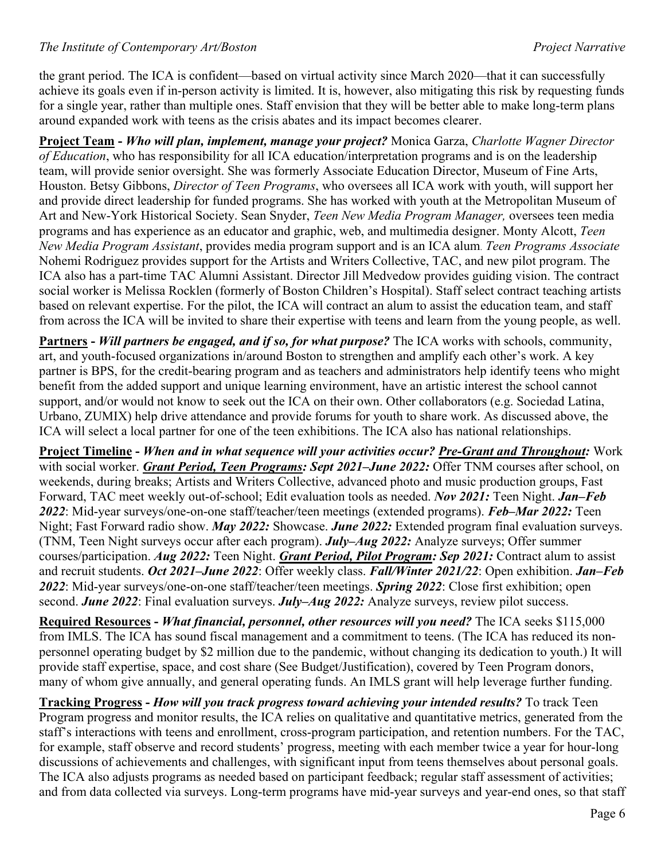#### *The Institute of Contemporary Art/Boston Project Narrative*

the grant period. The ICA is confident—based on virtual activity since March 2020—that it can successfully achieve its goals even if in-person activity is limited. It is, however, also mitigating this risk by requesting funds for a single year, rather than multiple ones. Staff envision that they will be better able to make long-term plans around expanded work with teens as the crisis abates and its impact becomes clearer.

**Project Team -** *Who will plan, implement, manage your project?* Monica Garza, *Charlotte Wagner Director of Education*, who has responsibility for all ICA education/interpretation programs and is on the leadership team, will provide senior oversight. She was formerly Associate Education Director, Museum of Fine Arts, Houston. Betsy Gibbons, *Director of Teen Programs*, who oversees all ICA work with youth, will support her and provide direct leadership for funded programs. She has worked with youth at the Metropolitan Museum of Art and New-York Historical Society. Sean Snyder, *Teen New Media Program Manager,* oversees teen media programs and has experience as an educator and graphic, web, and multimedia designer. Monty Alcott, *Teen New Media Program Assistant*, provides media program support and is an ICA alum. *Teen Programs Associate* Nohemi Rodriguez provides support for the Artists and Writers Collective, TAC, and new pilot program. The ICA also has a part-time TAC Alumni Assistant. Director Jill Medvedow provides guiding vision. The contract social worker is Melissa Rocklen (formerly of Boston Children's Hospital). Staff select contract teaching artists based on relevant expertise. For the pilot, the ICA will contract an alum to assist the education team, and staff from across the ICA will be invited to share their expertise with teens and learn from the young people, as well.

**Partners -** *Will partners be engaged, and if so, for what purpose?* The ICA works with schools, community, art, and youth-focused organizations in/around Boston to strengthen and amplify each other's work. A key partner is BPS, for the credit-bearing program and as teachers and administrators help identify teens who might benefit from the added support and unique learning environment, have an artistic interest the school cannot support, and/or would not know to seek out the ICA on their own. Other collaborators (e.g. Sociedad Latina, Urbano, ZUMIX) help drive attendance and provide forums for youth to share work. As discussed above, the ICA will select a local partner for one of the teen exhibitions. The ICA also has national relationships.

**Project Timeline -** *When and in what sequence will your activities occur? Pre-Grant and Throughout:* Work with social worker. *Grant Period, Teen Programs: Sept 2021–June 2022:* Offer TNM courses after school, on weekends, during breaks; Artists and Writers Collective, advanced photo and music production groups, Fast Forward, TAC meet weekly out-of-school; Edit evaluation tools as needed. *Nov 2021:* Teen Night. *Jan–Feb 2022*: Mid-year surveys/one-on-one staff/teacher/teen meetings (extended programs). *Feb–Mar 2022:* Teen Night; Fast Forward radio show. *May 2022:* Showcase. *June 2022:* Extended program final evaluation surveys. (TNM, Teen Night surveys occur after each program). *July–Aug 2022:* Analyze surveys; Offer summer courses/participation. *Aug 2022:* Teen Night. *Grant Period, Pilot Program: Sep 2021:* Contract alum to assist and recruit students. *Oct 2021–June 2022*: Offer weekly class. *Fall/Winter 2021/22*: Open exhibition. *Jan–Feb 2022*: Mid-year surveys/one-on-one staff/teacher/teen meetings. *Spring 2022*: Close first exhibition; open second. *June 2022*: Final evaluation surveys. *July–Aug 2022:* Analyze surveys, review pilot success.

**Required Resources -** *What financial, personnel, other resources will you need?* The ICA seeks \$115,000 from IMLS. The ICA has sound fiscal management and a commitment to teens. (The ICA has reduced its nonpersonnel operating budget by \$2 million due to the pandemic, without changing its dedication to youth.) It will provide staff expertise, space, and cost share (See Budget/Justification), covered by Teen Program donors, many of whom give annually, and general operating funds. An IMLS grant will help leverage further funding.

**Tracking Progress -** *How will you track progress toward achieving your intended results?* To track Teen Program progress and monitor results, the ICA relies on qualitative and quantitative metrics, generated from the staff's interactions with teens and enrollment, cross-program participation, and retention numbers. For the TAC, for example, staff observe and record students' progress, meeting with each member twice a year for hour-long discussions of achievements and challenges, with significant input from teens themselves about personal goals. The ICA also adjusts programs as needed based on participant feedback; regular staff assessment of activities; and from data collected via surveys. Long-term programs have mid-year surveys and year-end ones, so that staff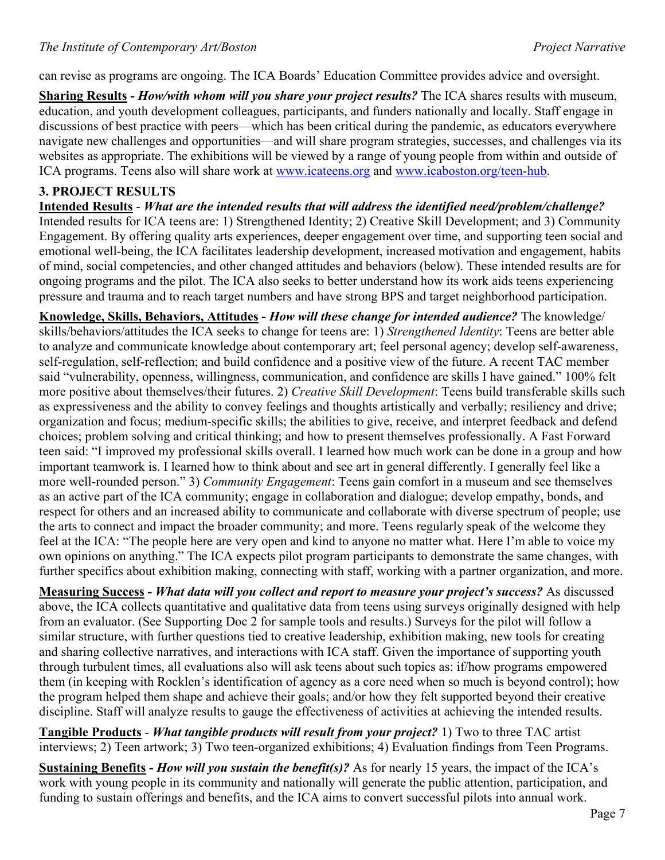can revise as programs are ongoing. The ICA Boards' Education Committee provides advice and oversight.

**Sharing Results -** *How/with whom will you share your project results?* The ICA shares results with museum, education, and youth development colleagues, participants, and funders nationally and locally. Staff engage in discussions of best practice with peers—which has been critical during the pandemic, as educators everywhere navigate new challenges and opportunities—and will share program strategies, successes, and challenges via its websites as appropriate. The exhibitions will be viewed by a range of young people from within and outside of ICA programs. Teens also will share work at [www.icateens.org](http://www.icateens.org/) and [www.icaboston.org/teen-hub.](http://www.icaboston.org/teen-hub)

### **3. PROJECT RESULTS**

**Intended Results** - *What are the intended results that will address the identified need/problem/challenge?* Intended results for ICA teens are: 1) Strengthened Identity; 2) Creative Skill Development; and 3) Community Engagement. By offering quality arts experiences, deeper engagement over time, and supporting teen social and emotional well-being, the ICA facilitates leadership development, increased motivation and engagement, habits of mind, social competencies, and other changed attitudes and behaviors (below). These intended results are for ongoing programs and the pilot. The ICA also seeks to better understand how its work aids teens experiencing pressure and trauma and to reach target numbers and have strong BPS and target neighborhood participation.

**Knowledge, Skills, Behaviors, Attitudes -** *How will these change for intended audience?* The knowledge/ skills/behaviors/attitudes the ICA seeks to change for teens are: 1) *Strengthened Identity*: Teens are better able to analyze and communicate knowledge about contemporary art; feel personal agency; develop self-awareness, self-regulation, self-reflection; and build confidence and a positive view of the future. A recent TAC member said "vulnerability, openness, willingness, communication, and confidence are skills I have gained." 100% felt more positive about themselves/their futures. 2) *Creative Skill Development*: Teens build transferable skills such as expressiveness and the ability to convey feelings and thoughts artistically and verbally; resiliency and drive; organization and focus; medium-specific skills; the abilities to give, receive, and interpret feedback and defend choices; problem solving and critical thinking; and how to present themselves professionally. A Fast Forward teen said: "I improved my professional skills overall. I learned how much work can be done in a group and how important teamwork is. I learned how to think about and see art in general differently. I generally feel like a more well-rounded person." 3) *Community Engagement*: Teens gain comfort in a museum and see themselves as an active part of the ICA community; engage in collaboration and dialogue; develop empathy, bonds, and respect for others and an increased ability to communicate and collaborate with diverse spectrum of people; use the arts to connect and impact the broader community; and more. Teens regularly speak of the welcome they feel at the ICA: "The people here are very open and kind to anyone no matter what. Here I'm able to voice my own opinions on anything." The ICA expects pilot program participants to demonstrate the same changes, with further specifics about exhibition making, connecting with staff, working with a partner organization, and more.

**Measuring Success -** *What data will you collect and report to measure your project's success?* As discussed above, the ICA collects quantitative and qualitative data from teens using surveys originally designed with help from an evaluator. (See Supporting Doc 2 for sample tools and results.) Surveys for the pilot will follow a similar structure, with further questions tied to creative leadership, exhibition making, new tools for creating and sharing collective narratives, and interactions with ICA staff. Given the importance of supporting youth through turbulent times, all evaluations also will ask teens about such topics as: if/how programs empowered them (in keeping with Rocklen's identification of agency as a core need when so much is beyond control); how the program helped them shape and achieve their goals; and/or how they felt supported beyond their creative discipline. Staff will analyze results to gauge the effectiveness of activities at achieving the intended results.

**Tangible Products** *- What tangible products will result from your project?* 1) Two to three TAC artist interviews; 2) Teen artwork; 3) Two teen-organized exhibitions; 4) Evaluation findings from Teen Programs.

**Sustaining Benefits -** *How will you sustain the benefit(s)?* As for nearly 15 years, the impact of the ICA's work with young people in its community and nationally will generate the public attention, participation, and funding to sustain offerings and benefits, and the ICA aims to convert successful pilots into annual work.